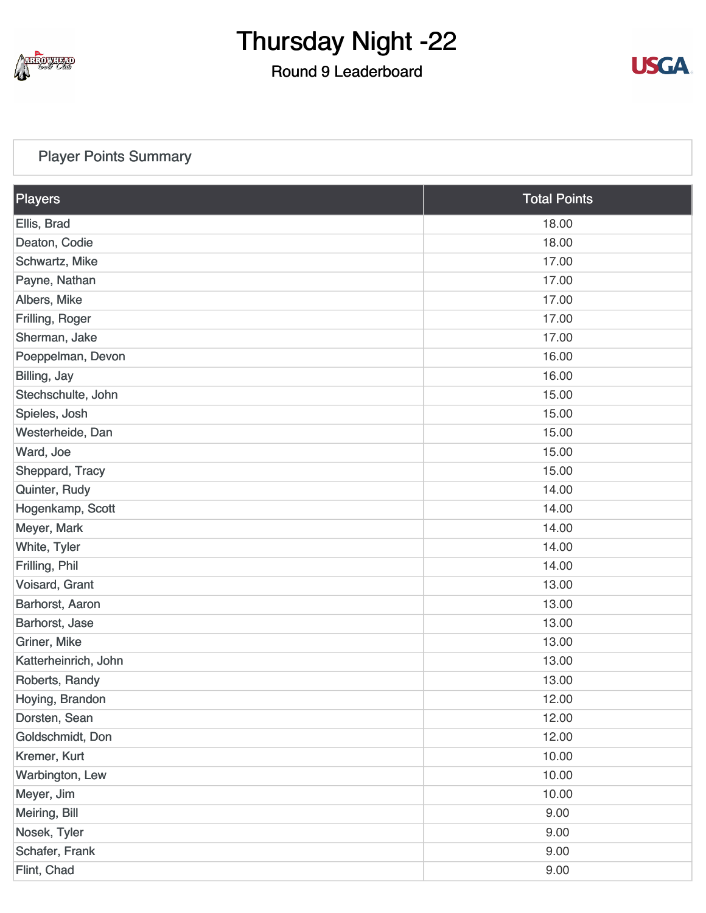

#### Round 9 Leaderboard



#### [Player Points Summary](https://static.golfgenius.com/v2tournaments/total_points?league_id=8410389304542504110&round_id=8410393925524661731)

| Players              | <b>Total Points</b> |
|----------------------|---------------------|
| Ellis, Brad          | 18.00               |
| Deaton, Codie        | 18.00               |
| Schwartz, Mike       | 17.00               |
| Payne, Nathan        | 17.00               |
| Albers, Mike         | 17.00               |
| Frilling, Roger      | 17.00               |
| Sherman, Jake        | 17.00               |
| Poeppelman, Devon    | 16.00               |
| Billing, Jay         | 16.00               |
| Stechschulte, John   | 15.00               |
| Spieles, Josh        | 15.00               |
| Westerheide, Dan     | 15.00               |
| Ward, Joe            | 15.00               |
| Sheppard, Tracy      | 15.00               |
| Quinter, Rudy        | 14.00               |
| Hogenkamp, Scott     | 14.00               |
| Meyer, Mark          | 14.00               |
| White, Tyler         | 14.00               |
| Frilling, Phil       | 14.00               |
| Voisard, Grant       | 13.00               |
| Barhorst, Aaron      | 13.00               |
| Barhorst, Jase       | 13.00               |
| Griner, Mike         | 13.00               |
| Katterheinrich, John | 13.00               |
| Roberts, Randy       | 13.00               |
| Hoying, Brandon      | 12.00               |
| Dorsten, Sean        | 12.00               |
| Goldschmidt, Don     | 12.00               |
| Kremer, Kurt         | 10.00               |
| Warbington, Lew      | 10.00               |
| Meyer, Jim           | 10.00               |
| Meiring, Bill        | 9.00                |
| Nosek, Tyler         | 9.00                |
| Schafer, Frank       | 9.00                |
| Flint, Chad          | 9.00                |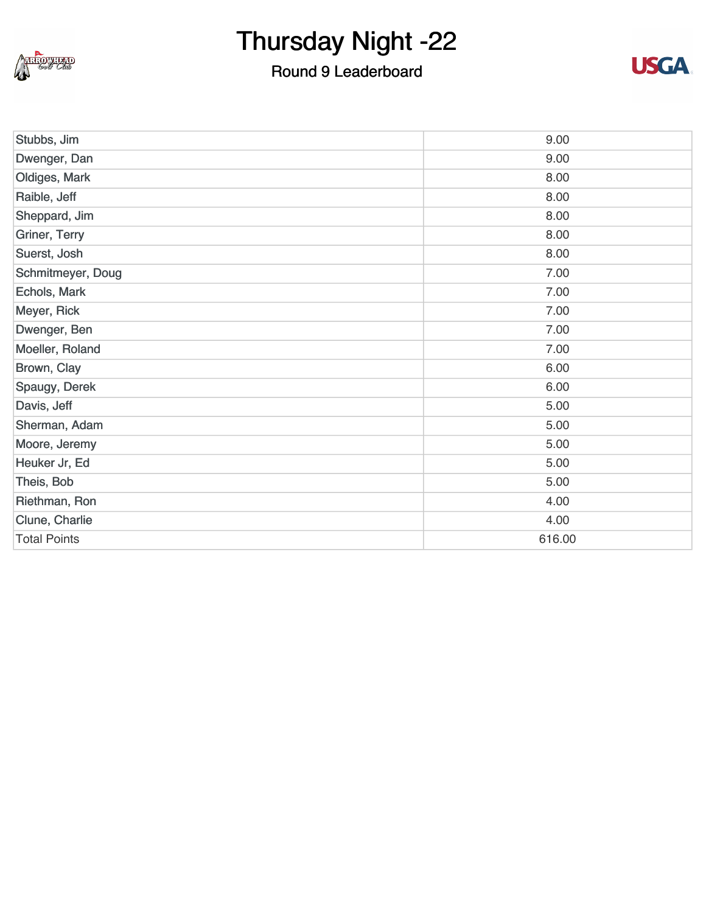

#### Round 9 Leaderboard



| Stubbs, Jim         | 9.00   |
|---------------------|--------|
| Dwenger, Dan        | 9.00   |
| Oldiges, Mark       | 8.00   |
| Raible, Jeff        | 8.00   |
| Sheppard, Jim       | 8.00   |
| Griner, Terry       | 8.00   |
| Suerst, Josh        | 8.00   |
| Schmitmeyer, Doug   | 7.00   |
| Echols, Mark        | 7.00   |
| Meyer, Rick         | 7.00   |
| Dwenger, Ben        | 7.00   |
| Moeller, Roland     | 7.00   |
| Brown, Clay         | 6.00   |
| Spaugy, Derek       | 6.00   |
| Davis, Jeff         | 5.00   |
| Sherman, Adam       | 5.00   |
| Moore, Jeremy       | 5.00   |
| Heuker Jr, Ed       | 5.00   |
| Theis, Bob          | 5.00   |
| Riethman, Ron       | 4.00   |
| Clune, Charlie      | 4.00   |
| <b>Total Points</b> | 616.00 |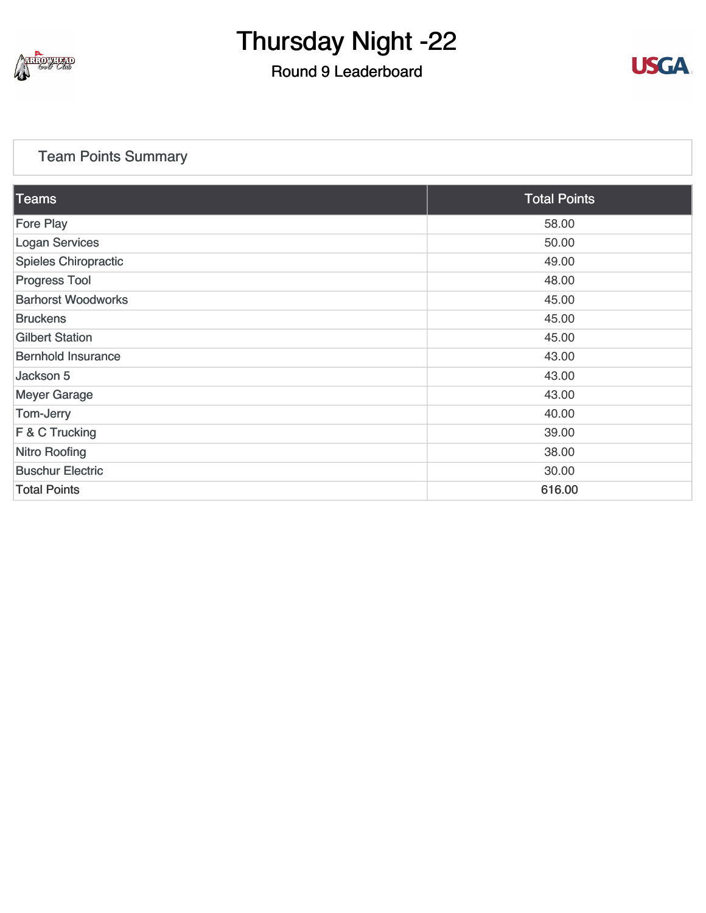

#### Round 9 Leaderboard



#### [Team Points Summary](https://static.golfgenius.com/v2tournaments/team_points?league_id=8410389304542504110&round_id=8410393925524661731)

| $\overline{\text{Teams}}$   | <b>Total Points</b> |
|-----------------------------|---------------------|
| <b>Fore Play</b>            | 58.00               |
| <b>Logan Services</b>       | 50.00               |
| <b>Spieles Chiropractic</b> | 49.00               |
| <b>Progress Tool</b>        | 48.00               |
| <b>Barhorst Woodworks</b>   | 45.00               |
| <b>Bruckens</b>             | 45.00               |
| <b>Gilbert Station</b>      | 45.00               |
| <b>Bernhold Insurance</b>   | 43.00               |
| Jackson 5                   | 43.00               |
| <b>Meyer Garage</b>         | 43.00               |
| Tom-Jerry                   | 40.00               |
| F & C Trucking              | 39.00               |
| <b>Nitro Roofing</b>        | 38.00               |
| <b>Buschur Electric</b>     | 30.00               |
| <b>Total Points</b>         | 616.00              |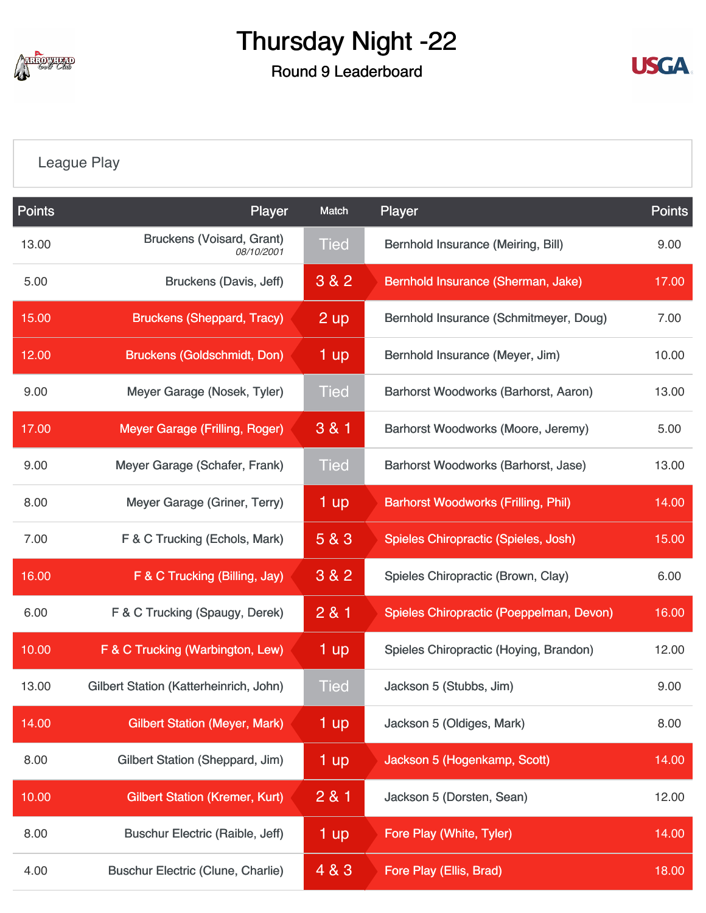

Round 9 Leaderboard



[League Play](https://static.golfgenius.com/v2tournaments/8410488375143835133?called_from=&round_index=9)

| <b>Points</b> | Player                                         | Match             | Player                                     | <b>Points</b> |
|---------------|------------------------------------------------|-------------------|--------------------------------------------|---------------|
| 13.00         | <b>Bruckens (Voisard, Grant)</b><br>08/10/2001 | <b>Tied</b>       | Bernhold Insurance (Meiring, Bill)         | 9.00          |
| 5.00          | Bruckens (Davis, Jeff)                         | 3 & 2             | Bernhold Insurance (Sherman, Jake)         | 17.00         |
| 15.00         | <b>Bruckens (Sheppard, Tracy)</b>              | 2 up              | Bernhold Insurance (Schmitmeyer, Doug)     | 7.00          |
| 12.00         | <b>Bruckens (Goldschmidt, Don)</b>             | 1 up              | Bernhold Insurance (Meyer, Jim)            | 10.00         |
| 9.00          | Meyer Garage (Nosek, Tyler)                    | <b>Tied</b>       | Barhorst Woodworks (Barhorst, Aaron)       | 13.00         |
| 17.00         | Meyer Garage (Frilling, Roger)                 | 3 & 1             | <b>Barhorst Woodworks (Moore, Jeremy)</b>  | 5.00          |
| 9.00          | Meyer Garage (Schafer, Frank)                  | <b>Tied</b>       | Barhorst Woodworks (Barhorst, Jase)        | 13.00         |
| 8.00          | Meyer Garage (Griner, Terry)                   | 1 up              | <b>Barhorst Woodworks (Frilling, Phil)</b> | 14.00         |
| 7.00          | F & C Trucking (Echols, Mark)                  | 5 & 3             | Spieles Chiropractic (Spieles, Josh)       | 15.00         |
| 16.00         | F & C Trucking (Billing, Jay)                  | 3 & 2             | Spieles Chiropractic (Brown, Clay)         | 6.00          |
| 6.00          | F & C Trucking (Spaugy, Derek)                 | 281               | Spieles Chiropractic (Poeppelman, Devon)   | 16.00         |
| 10.00         | F & C Trucking (Warbington, Lew)               | 1 up              | Spieles Chiropractic (Hoying, Brandon)     | 12.00         |
| 13.00         | Gilbert Station (Katterheinrich, John)         | <b>Tied</b>       | Jackson 5 (Stubbs, Jim)                    | 9.00          |
| 14.00         | <b>Gilbert Station (Meyer, Mark)</b>           | $1 \overline{up}$ | Jackson 5 (Oldiges, Mark)                  | 8.00          |
| 8.00          | Gilbert Station (Sheppard, Jim)                | 1 up              | Jackson 5 (Hogenkamp, Scott)               | 14.00         |
| 10.00         | <b>Gilbert Station (Kremer, Kurt)</b>          | 281               | Jackson 5 (Dorsten, Sean)                  | 12.00         |
| 8.00          | <b>Buschur Electric (Raible, Jeff)</b>         | 1 up              | Fore Play (White, Tyler)                   | 14.00         |
| 4.00          | <b>Buschur Electric (Clune, Charlie)</b>       | 4 & 3             | Fore Play (Ellis, Brad)                    | 18.00         |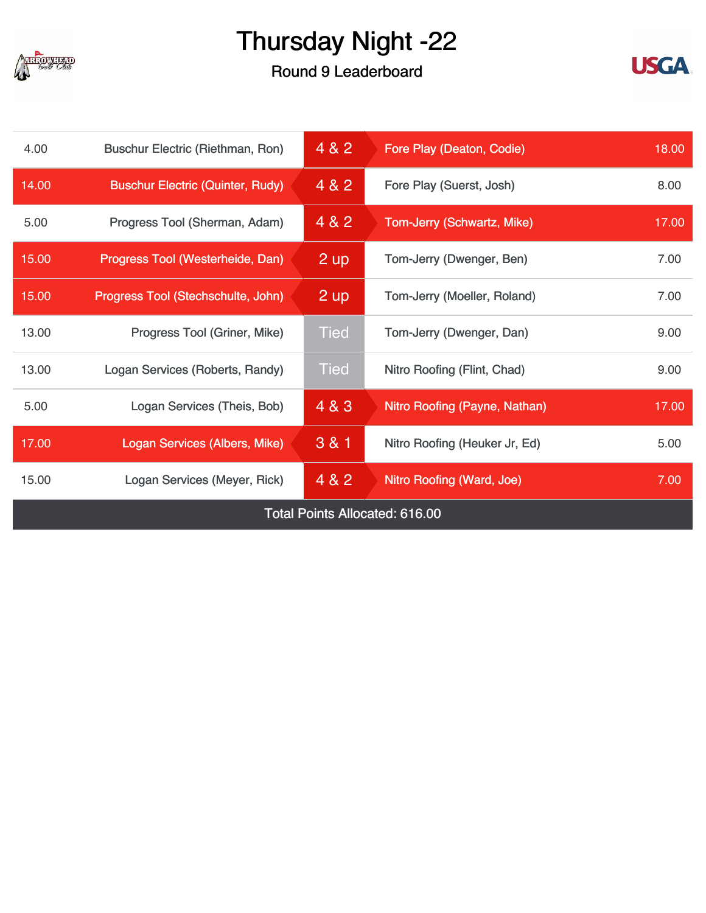

#### Round 9 Leaderboard



| 4.00                           | Buschur Electric (Riethman, Ron)        | 4 & 2       | Fore Play (Deaton, Codie)        | 18.00 |
|--------------------------------|-----------------------------------------|-------------|----------------------------------|-------|
| 14.00                          | <b>Buschur Electric (Quinter, Rudy)</b> | 4 & 2       | Fore Play (Suerst, Josh)         | 8.00  |
| 5.00                           | Progress Tool (Sherman, Adam)           | 4 & 2       | Tom-Jerry (Schwartz, Mike)       | 17.00 |
| 15.00                          | Progress Tool (Westerheide, Dan)        | 2 up        | Tom-Jerry (Dwenger, Ben)         | 7.00  |
| 15.00                          | Progress Tool (Stechschulte, John)      | 2 up        | Tom-Jerry (Moeller, Roland)      | 7.00  |
| 13.00                          | Progress Tool (Griner, Mike)            | <b>Tied</b> | Tom-Jerry (Dwenger, Dan)         | 9.00  |
| 13.00                          | Logan Services (Roberts, Randy)         | <b>Tied</b> | Nitro Roofing (Flint, Chad)      | 9.00  |
| 5.00                           | Logan Services (Theis, Bob)             | 4 & 3       | Nitro Roofing (Payne, Nathan)    | 17.00 |
| 17.00                          | Logan Services (Albers, Mike)           | $3 & 8 & 1$ | Nitro Roofing (Heuker Jr, Ed)    | 5.00  |
| 15.00                          | Logan Services (Meyer, Rick)            | 4 & 2       | <b>Nitro Roofing (Ward, Joe)</b> | 7.00  |
| Total Points Allocated: 616.00 |                                         |             |                                  |       |